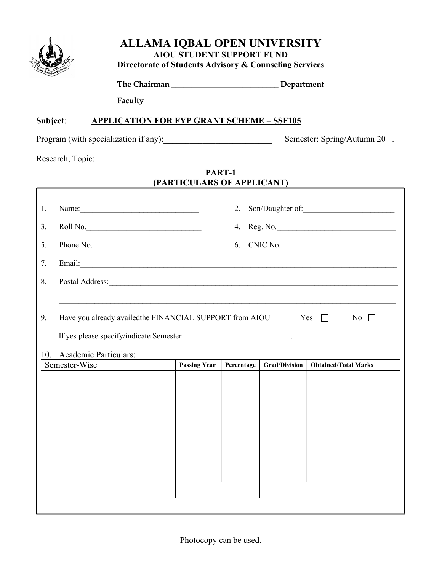

## ALLAMA IQBAL OPEN UNIVERSITY AIOU STUDENT SUPPORT FUND Directorate of Students Advisory & Counseling Services

The Chairman \_\_\_\_\_\_\_\_\_\_\_\_\_\_\_\_\_\_\_\_\_\_\_\_\_\_\_ Department

Faculty \_\_\_\_\_\_\_\_\_\_\_\_\_\_\_\_\_\_\_\_\_\_\_\_\_\_\_\_\_\_\_\_\_\_\_\_\_\_\_\_\_\_\_\_\_

## Subject: APPLICATION FOR FYP GRANT SCHEME - SSF105

Program (with specialization if any): Semester: Spring/Autumn 20 .

Research, Topic:\_\_\_\_\_\_\_\_\_\_\_\_\_\_\_\_\_\_\_\_\_\_\_\_\_\_\_\_\_\_\_\_\_\_\_\_\_\_\_\_\_\_\_\_\_\_\_\_\_\_\_\_\_\_\_\_\_\_\_\_\_\_\_\_\_\_\_\_\_\_\_

## PART-1 (PARTICULARS OF APPLICANT)

| 1.                                                                                                                                         |               |                     | 2.                                                                                                                                                                                                                                                                                                                                                                                                                                                |                      |                             |  |  |  |  |  |
|--------------------------------------------------------------------------------------------------------------------------------------------|---------------|---------------------|---------------------------------------------------------------------------------------------------------------------------------------------------------------------------------------------------------------------------------------------------------------------------------------------------------------------------------------------------------------------------------------------------------------------------------------------------|----------------------|-----------------------------|--|--|--|--|--|
| 3.                                                                                                                                         | Roll No.      |                     | $\begin{minipage}{.4\linewidth} Reg. No. \begin{tabular}{l} \textbf{1} & \textbf{2} & \textbf{3} & \textbf{4} & \textbf{5} \\ \textbf{2} & \textbf{3} & \textbf{4} & \textbf{5} & \textbf{6} \\ \textbf{4} & \textbf{5} & \textbf{6} & \textbf{6} & \textbf{6} \\ \textbf{5} & \textbf{6} & \textbf{6} & \textbf{6} & \textbf{6} \\ \textbf{7} & \textbf{8} & \textbf{8} & \textbf{8} & \textbf{8} \\ \textbf{9} & \textbf{10} & \textbf{1$<br>4. |                      |                             |  |  |  |  |  |
| 5.                                                                                                                                         | Phone No.     |                     | CNIC No.<br>6.                                                                                                                                                                                                                                                                                                                                                                                                                                    |                      |                             |  |  |  |  |  |
| 7.                                                                                                                                         |               |                     |                                                                                                                                                                                                                                                                                                                                                                                                                                                   |                      |                             |  |  |  |  |  |
| 8.                                                                                                                                         |               |                     |                                                                                                                                                                                                                                                                                                                                                                                                                                                   |                      |                             |  |  |  |  |  |
| Have you already availed the FINANCIAL SUPPORT from AIOU<br>9.<br>Yes<br>$\Box$<br>$\overline{N}$ o $\Box$<br>Academic Particulars:<br>10. |               |                     |                                                                                                                                                                                                                                                                                                                                                                                                                                                   |                      |                             |  |  |  |  |  |
|                                                                                                                                            |               |                     |                                                                                                                                                                                                                                                                                                                                                                                                                                                   |                      |                             |  |  |  |  |  |
|                                                                                                                                            | Semester-Wise | <b>Passing Year</b> | Percentage                                                                                                                                                                                                                                                                                                                                                                                                                                        | <b>Grad/Division</b> | <b>Obtained/Total Marks</b> |  |  |  |  |  |
|                                                                                                                                            |               |                     |                                                                                                                                                                                                                                                                                                                                                                                                                                                   |                      |                             |  |  |  |  |  |
|                                                                                                                                            |               |                     |                                                                                                                                                                                                                                                                                                                                                                                                                                                   |                      |                             |  |  |  |  |  |
|                                                                                                                                            |               |                     |                                                                                                                                                                                                                                                                                                                                                                                                                                                   |                      |                             |  |  |  |  |  |
|                                                                                                                                            |               |                     |                                                                                                                                                                                                                                                                                                                                                                                                                                                   |                      |                             |  |  |  |  |  |
|                                                                                                                                            |               |                     |                                                                                                                                                                                                                                                                                                                                                                                                                                                   |                      |                             |  |  |  |  |  |
|                                                                                                                                            |               |                     |                                                                                                                                                                                                                                                                                                                                                                                                                                                   |                      |                             |  |  |  |  |  |
|                                                                                                                                            |               |                     |                                                                                                                                                                                                                                                                                                                                                                                                                                                   |                      |                             |  |  |  |  |  |
|                                                                                                                                            |               |                     |                                                                                                                                                                                                                                                                                                                                                                                                                                                   |                      |                             |  |  |  |  |  |
|                                                                                                                                            |               |                     |                                                                                                                                                                                                                                                                                                                                                                                                                                                   |                      |                             |  |  |  |  |  |